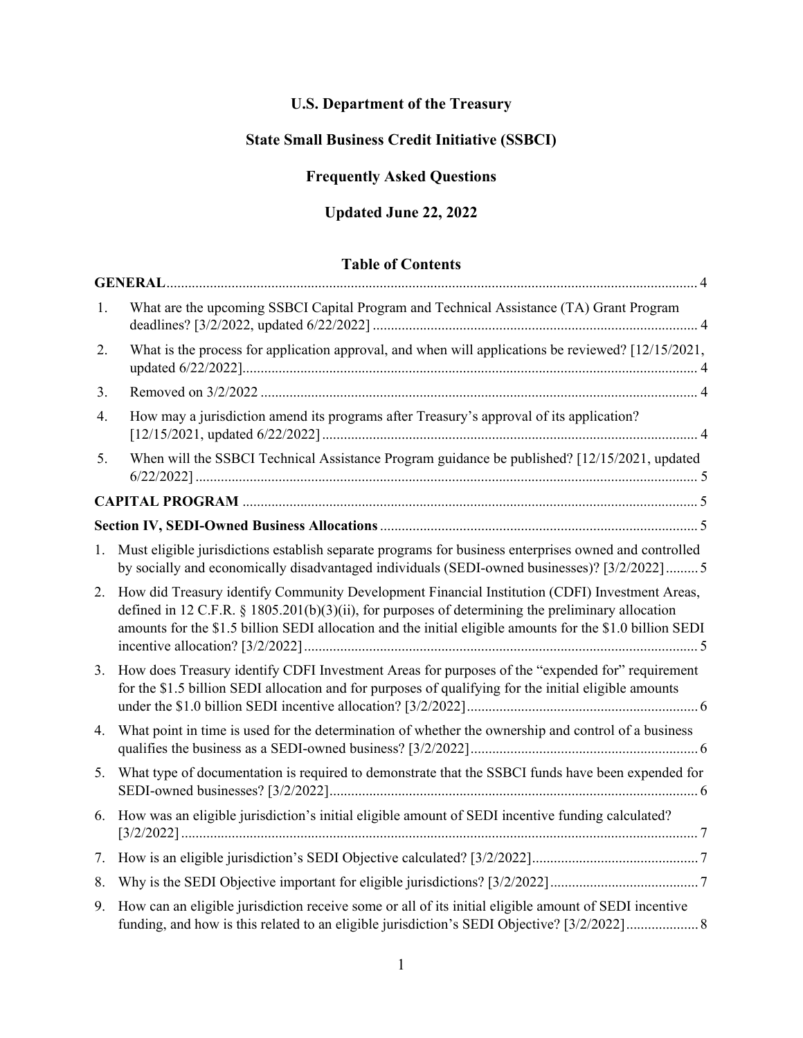# **U.S. Department of the Treasury**

# **State Small Business Credit Initiative (SSBCI)**

# **Frequently Asked Questions**

# **Updated June 22, 2022**

# **Table of Contents**

| 1. | What are the upcoming SSBCI Capital Program and Technical Assistance (TA) Grant Program                                                                                                                                                                                                                          |
|----|------------------------------------------------------------------------------------------------------------------------------------------------------------------------------------------------------------------------------------------------------------------------------------------------------------------|
| 2. | What is the process for application approval, and when will applications be reviewed? [12/15/2021,                                                                                                                                                                                                               |
| 3. |                                                                                                                                                                                                                                                                                                                  |
| 4. | How may a jurisdiction amend its programs after Treasury's approval of its application?                                                                                                                                                                                                                          |
| 5. | When will the SSBCI Technical Assistance Program guidance be published? [12/15/2021, updated                                                                                                                                                                                                                     |
|    |                                                                                                                                                                                                                                                                                                                  |
|    |                                                                                                                                                                                                                                                                                                                  |
| 1. | Must eligible jurisdictions establish separate programs for business enterprises owned and controlled<br>by socially and economically disadvantaged individuals (SEDI-owned businesses)? [3/2/2022] 5                                                                                                            |
| 2. | How did Treasury identify Community Development Financial Institution (CDFI) Investment Areas,<br>defined in 12 C.F.R. § 1805.201(b)(3)(ii), for purposes of determining the preliminary allocation<br>amounts for the \$1.5 billion SEDI allocation and the initial eligible amounts for the \$1.0 billion SEDI |
| 3. | How does Treasury identify CDFI Investment Areas for purposes of the "expended for" requirement<br>for the \$1.5 billion SEDI allocation and for purposes of qualifying for the initial eligible amounts                                                                                                         |
| 4. | What point in time is used for the determination of whether the ownership and control of a business                                                                                                                                                                                                              |
| 5. | What type of documentation is required to demonstrate that the SSBCI funds have been expended for                                                                                                                                                                                                                |
| 6. | How was an eligible jurisdiction's initial eligible amount of SEDI incentive funding calculated?                                                                                                                                                                                                                 |
| 7. |                                                                                                                                                                                                                                                                                                                  |
| 8. |                                                                                                                                                                                                                                                                                                                  |
| 9. | How can an eligible jurisdiction receive some or all of its initial eligible amount of SEDI incentive                                                                                                                                                                                                            |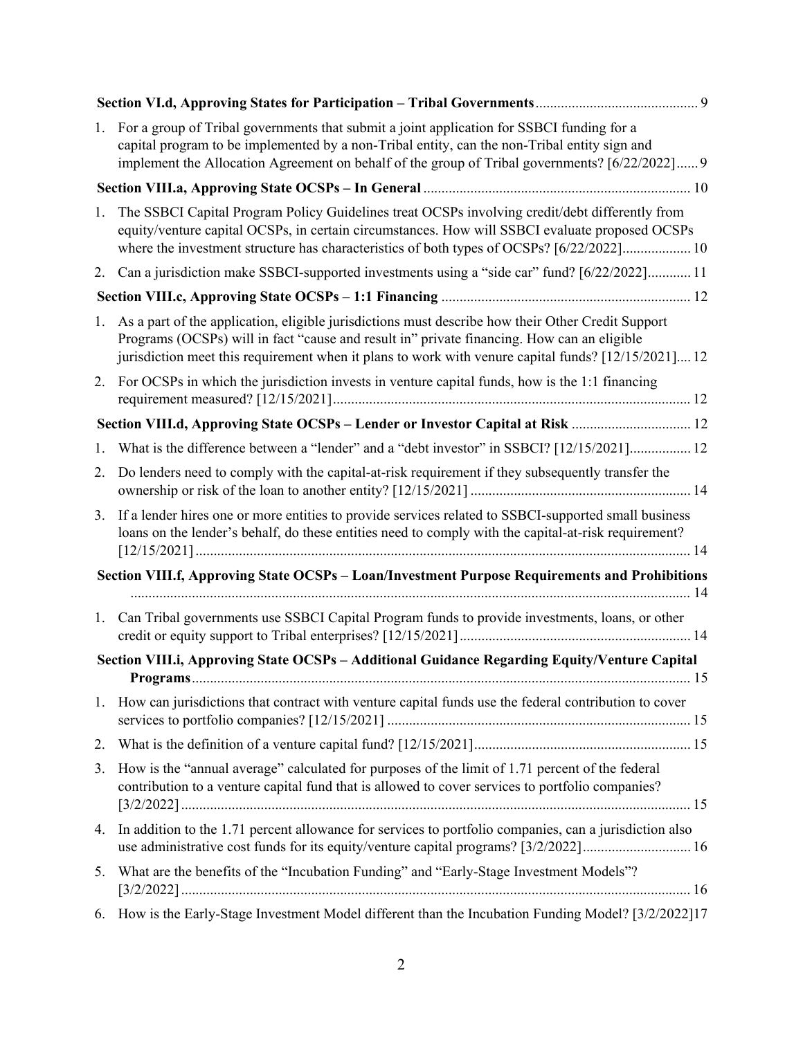| 1.                                                                                                 | For a group of Tribal governments that submit a joint application for SSBCI funding for a<br>capital program to be implemented by a non-Tribal entity, can the non-Tribal entity sign and<br>implement the Allocation Agreement on behalf of the group of Tribal governments? [6/22/2022] 9            |  |  |  |
|----------------------------------------------------------------------------------------------------|--------------------------------------------------------------------------------------------------------------------------------------------------------------------------------------------------------------------------------------------------------------------------------------------------------|--|--|--|
|                                                                                                    |                                                                                                                                                                                                                                                                                                        |  |  |  |
| 1.                                                                                                 | The SSBCI Capital Program Policy Guidelines treat OCSPs involving credit/debt differently from<br>equity/venture capital OCSPs, in certain circumstances. How will SSBCI evaluate proposed OCSPs<br>where the investment structure has characteristics of both types of OCSPs? [6/22/2022] 10          |  |  |  |
| 2.                                                                                                 | Can a jurisdiction make SSBCI-supported investments using a "side car" fund? [6/22/2022] 11                                                                                                                                                                                                            |  |  |  |
|                                                                                                    |                                                                                                                                                                                                                                                                                                        |  |  |  |
| 1.                                                                                                 | As a part of the application, eligible jurisdictions must describe how their Other Credit Support<br>Programs (OCSPs) will in fact "cause and result in" private financing. How can an eligible<br>jurisdiction meet this requirement when it plans to work with venure capital funds? [12/15/2021] 12 |  |  |  |
| 2.                                                                                                 | For OCSPs in which the jurisdiction invests in venture capital funds, how is the 1:1 financing                                                                                                                                                                                                         |  |  |  |
|                                                                                                    | Section VIII.d, Approving State OCSPs - Lender or Investor Capital at Risk  12                                                                                                                                                                                                                         |  |  |  |
| 1.                                                                                                 | What is the difference between a "lender" and a "debt investor" in SSBCI? [12/15/2021] 12                                                                                                                                                                                                              |  |  |  |
| 2.                                                                                                 | Do lenders need to comply with the capital-at-risk requirement if they subsequently transfer the                                                                                                                                                                                                       |  |  |  |
| 3.                                                                                                 | If a lender hires one or more entities to provide services related to SSBCI-supported small business<br>loans on the lender's behalf, do these entities need to comply with the capital-at-risk requirement?                                                                                           |  |  |  |
| Section VIII.f, Approving State OCSPs - Loan/Investment Purpose Requirements and Prohibitions      |                                                                                                                                                                                                                                                                                                        |  |  |  |
|                                                                                                    |                                                                                                                                                                                                                                                                                                        |  |  |  |
| 1.                                                                                                 | Can Tribal governments use SSBCI Capital Program funds to provide investments, loans, or other                                                                                                                                                                                                         |  |  |  |
| Section VIII.i, Approving State OCSPs - Additional Guidance Regarding Equity/Venture Capital<br>15 |                                                                                                                                                                                                                                                                                                        |  |  |  |
| 1.                                                                                                 | How can jurisdictions that contract with venture capital funds use the federal contribution to cover                                                                                                                                                                                                   |  |  |  |
| 2.                                                                                                 |                                                                                                                                                                                                                                                                                                        |  |  |  |
| 3.                                                                                                 | How is the "annual average" calculated for purposes of the limit of 1.71 percent of the federal<br>contribution to a venture capital fund that is allowed to cover services to portfolio companies?                                                                                                    |  |  |  |
| 4.                                                                                                 | In addition to the 1.71 percent allowance for services to portfolio companies, can a jurisdiction also<br>use administrative cost funds for its equity/venture capital programs? [3/2/2022]16                                                                                                          |  |  |  |
| 5.                                                                                                 | What are the benefits of the "Incubation Funding" and "Early-Stage Investment Models"?                                                                                                                                                                                                                 |  |  |  |
| 6.                                                                                                 | How is the Early-Stage Investment Model different than the Incubation Funding Model? [3/2/2022]17                                                                                                                                                                                                      |  |  |  |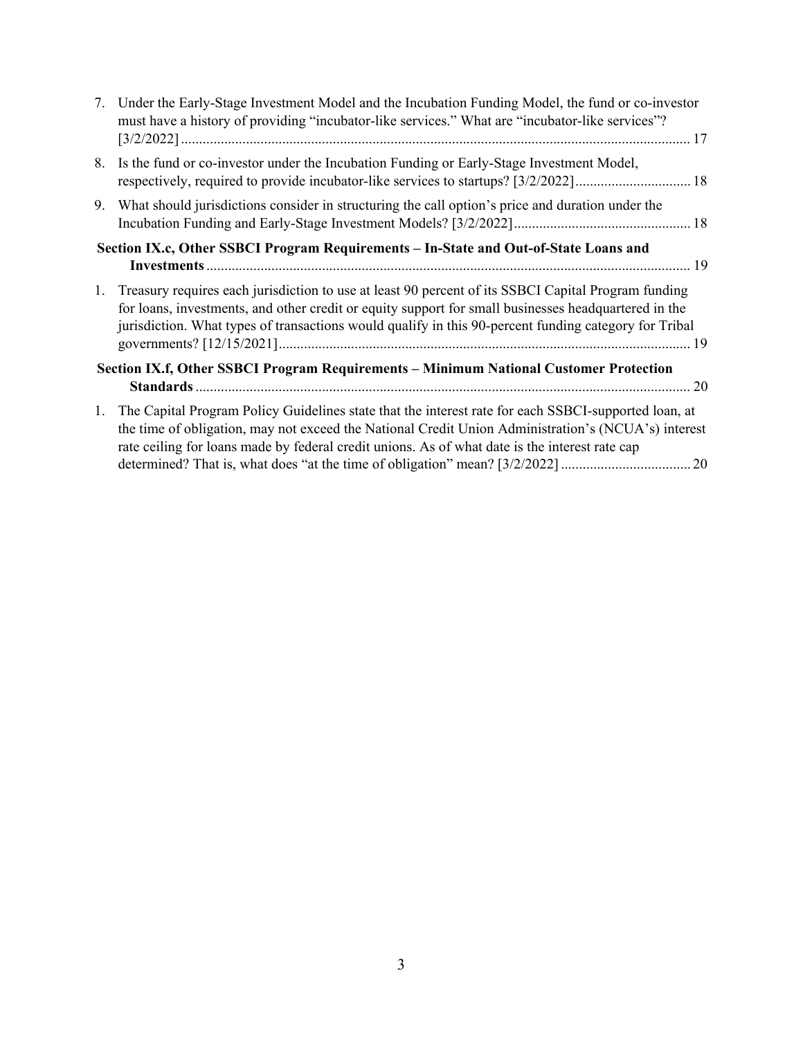| 7.                                                                                    | Under the Early-Stage Investment Model and the Incubation Funding Model, the fund or co-investor<br>must have a history of providing "incubator-like services." What are "incubator-like services"?                                                                                                                  |  |
|---------------------------------------------------------------------------------------|----------------------------------------------------------------------------------------------------------------------------------------------------------------------------------------------------------------------------------------------------------------------------------------------------------------------|--|
| 8.                                                                                    | Is the fund or co-investor under the Incubation Funding or Early-Stage Investment Model,                                                                                                                                                                                                                             |  |
| 9.                                                                                    | What should jurisdictions consider in structuring the call option's price and duration under the                                                                                                                                                                                                                     |  |
| Section IX.c, Other SSBCI Program Requirements - In-State and Out-of-State Loans and  |                                                                                                                                                                                                                                                                                                                      |  |
| 1.                                                                                    | Treasury requires each jurisdiction to use at least 90 percent of its SSBCI Capital Program funding<br>for loans, investments, and other credit or equity support for small businesses headquartered in the<br>jurisdiction. What types of transactions would qualify in this 90-percent funding category for Tribal |  |
| Section IX.f, Other SSBCI Program Requirements - Minimum National Customer Protection |                                                                                                                                                                                                                                                                                                                      |  |
| 1.                                                                                    | The Capital Program Policy Guidelines state that the interest rate for each SSBCI-supported loan, at<br>the time of obligation, may not exceed the National Credit Union Administration's (NCUA's) interest<br>rate ceiling for loans made by federal credit unions. As of what date is the interest rate cap        |  |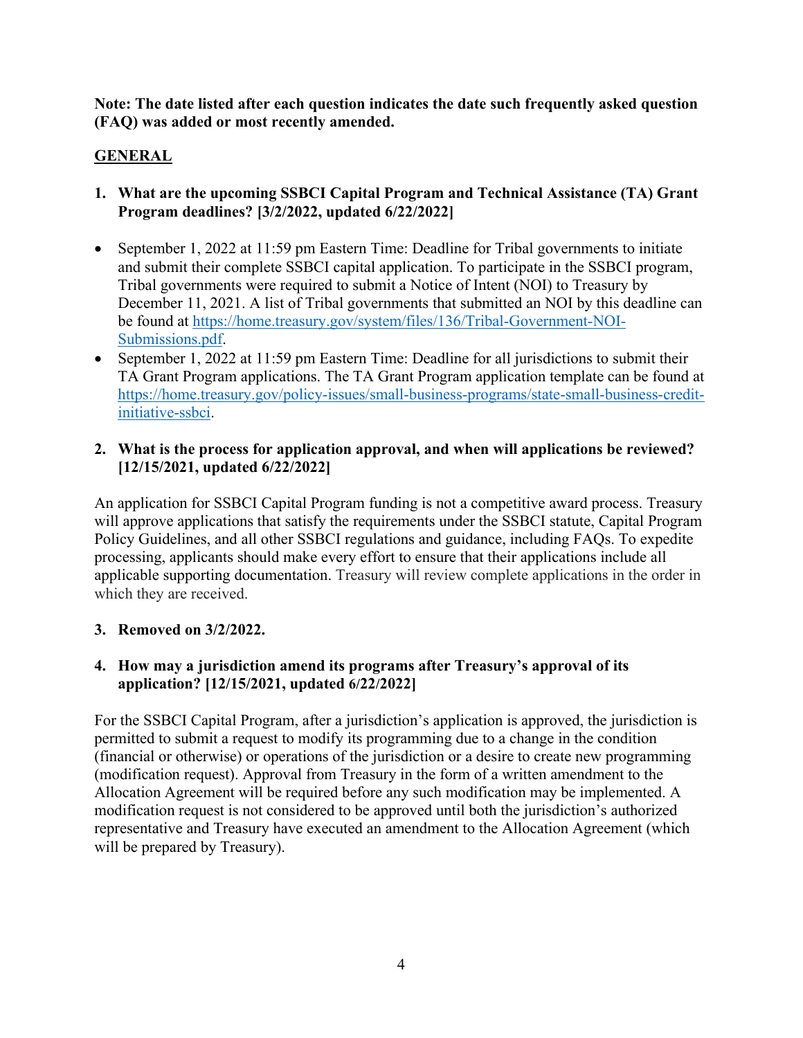**Note: The date listed after each question indicates the date such frequently asked question (FAQ) was added or most recently amended.**

# <span id="page-3-0"></span>**GENERAL**

- <span id="page-3-1"></span>**1. What are the upcoming SSBCI Capital Program and Technical Assistance (TA) Grant Program deadlines? [3/2/2022, updated 6/22/2022]**
- September 1, 2022 at 11:59 pm Eastern Time: Deadline for Tribal governments to initiate and submit their complete SSBCI capital application. To participate in the SSBCI program, Tribal governments were required to submit a Notice of Intent (NOI) to Treasury by December 11, 2021. A list of Tribal governments that submitted an NOI by this deadline can be found at [https://home.treasury.gov/system/files/136/Tribal-Government-NOI-](https://home.treasury.gov/system/files/136/Tribal-Government-NOI-Submissions.pdf)[Submissions.pdf.](https://home.treasury.gov/system/files/136/Tribal-Government-NOI-Submissions.pdf)
- September 1, 2022 at 11:59 pm Eastern Time: Deadline for all jurisdictions to submit their TA Grant Program applications. The TA Grant Program application template can be found at [https://home.treasury.gov/policy-issues/small-business-programs/state-small-business-credit](https://home.treasury.gov/policy-issues/small-business-programs/state-small-business-credit-initiative-ssbci)[initiative-ssbci.](https://home.treasury.gov/policy-issues/small-business-programs/state-small-business-credit-initiative-ssbci)

#### <span id="page-3-2"></span>**2. What is the process for application approval, and when will applications be reviewed? [12/15/2021, updated 6/22/2022]**

An application for SSBCI Capital Program funding is not a competitive award process. Treasury will approve applications that satisfy the requirements under the SSBCI statute, Capital Program Policy Guidelines, and all other SSBCI regulations and guidance, including FAQs. To expedite processing, applicants should make every effort to ensure that their applications include all applicable supporting documentation. Treasury will review complete applications in the order in which they are received.

#### <span id="page-3-3"></span>**3. Removed on 3/2/2022.**

## <span id="page-3-4"></span>**4. How may a jurisdiction amend its programs after Treasury's approval of its application? [12/15/2021, updated 6/22/2022]**

For the SSBCI Capital Program, after a jurisdiction's application is approved, the jurisdiction is permitted to submit a request to modify its programming due to a change in the condition (financial or otherwise) or operations of the jurisdiction or a desire to create new programming (modification request). Approval from Treasury in the form of a written amendment to the Allocation Agreement will be required before any such modification may be implemented. A modification request is not considered to be approved until both the jurisdiction's authorized representative and Treasury have executed an amendment to the Allocation Agreement (which will be prepared by Treasury).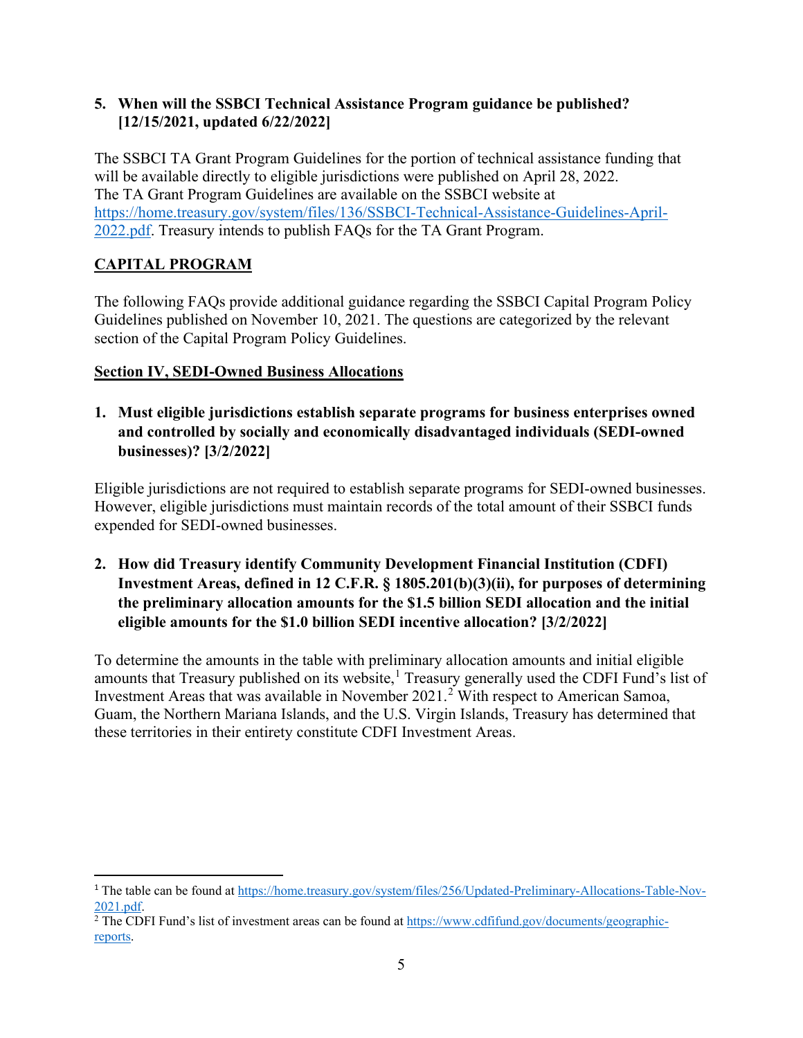#### <span id="page-4-0"></span>**5. When will the SSBCI Technical Assistance Program guidance be published? [12/15/2021, updated 6/22/2022]**

The SSBCI TA Grant Program Guidelines for the portion of technical assistance funding that will be available directly to eligible jurisdictions were published on April 28, 2022. The TA Grant Program Guidelines are available on the SSBCI website at [https://home.treasury.gov/system/files/136/SSBCI-Technical-Assistance-Guidelines-April-](https://home.treasury.gov/system/files/136/SSBCI-Technical-Assistance-Guidelines-April-2022.pdf)[2022.pdf.](https://home.treasury.gov/system/files/136/SSBCI-Technical-Assistance-Guidelines-April-2022.pdf) Treasury intends to publish FAQs for the TA Grant Program.

# <span id="page-4-1"></span>**CAPITAL PROGRAM**

The following FAQs provide additional guidance regarding the SSBCI Capital Program Policy Guidelines published on November 10, 2021. The questions are categorized by the relevant section of the Capital Program Policy Guidelines.

## <span id="page-4-2"></span>**Section IV, SEDI-Owned Business Allocations**

<span id="page-4-3"></span>**1. Must eligible jurisdictions establish separate programs for business enterprises owned and controlled by socially and economically disadvantaged individuals (SEDI-owned businesses)? [3/2/2022]**

Eligible jurisdictions are not required to establish separate programs for SEDI-owned businesses. However, eligible jurisdictions must maintain records of the total amount of their SSBCI funds expended for SEDI-owned businesses.

<span id="page-4-4"></span>**2. How did Treasury identify Community Development Financial Institution (CDFI) Investment Areas, defined in 12 C.F.R. § 1805.201(b)(3)(ii), for purposes of determining the preliminary allocation amounts for the \$1.5 billion SEDI allocation and the initial eligible amounts for the \$1.0 billion SEDI incentive allocation? [3/2/2022]**

To determine the amounts in the table with preliminary allocation amounts and initial eligible amounts that Treasury published on its website,<sup>[1](#page-4-5)</sup> Treasury generally used the CDFI Fund's list of Investment Areas that was available in November  $2021<sup>2</sup>$  $2021<sup>2</sup>$  With respect to American Samoa, Guam, the Northern Mariana Islands, and the U.S. Virgin Islands, Treasury has determined that these territories in their entirety constitute CDFI Investment Areas.

<span id="page-4-5"></span><sup>&</sup>lt;sup>1</sup> The table can be found at [https://home.treasury.gov/system/files/256/Updated-Preliminary-Allocations-Table-Nov-](https://home.treasury.gov/system/files/256/Updated-Preliminary-Allocations-Table-Nov-2021.pdf)

<span id="page-4-6"></span> $\frac{2021.pdf.}{n^2}$  $\frac{2021.pdf.}{n^2}$  $\frac{2021.pdf.}{n^2}$  The CDFI Fund's list of investment areas can be found at  $\frac{https://www.cdfifund.gov/documents/geographic-1}{https://www.cdfifund.gov/documents/geographic-1}$ [reports.](https://www.cdfifund.gov/documents/geographic-reports)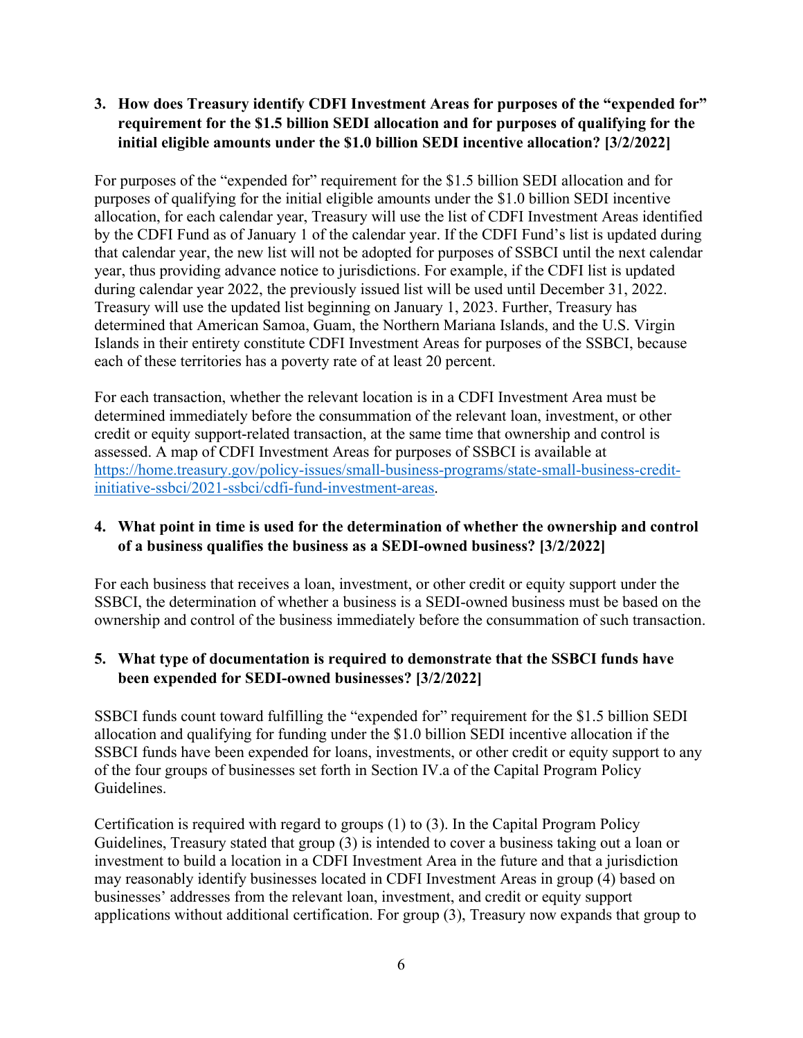# <span id="page-5-0"></span>**3. How does Treasury identify CDFI Investment Areas for purposes of the "expended for" requirement for the \$1.5 billion SEDI allocation and for purposes of qualifying for the initial eligible amounts under the \$1.0 billion SEDI incentive allocation? [3/2/2022]**

For purposes of the "expended for" requirement for the \$1.5 billion SEDI allocation and for purposes of qualifying for the initial eligible amounts under the \$1.0 billion SEDI incentive allocation, for each calendar year, Treasury will use the list of CDFI Investment Areas identified by the CDFI Fund as of January 1 of the calendar year. If the CDFI Fund's list is updated during that calendar year, the new list will not be adopted for purposes of SSBCI until the next calendar year, thus providing advance notice to jurisdictions. For example, if the CDFI list is updated during calendar year 2022, the previously issued list will be used until December 31, 2022. Treasury will use the updated list beginning on January 1, 2023. Further, Treasury has determined that American Samoa, Guam, the Northern Mariana Islands, and the U.S. Virgin Islands in their entirety constitute CDFI Investment Areas for purposes of the SSBCI, because each of these territories has a poverty rate of at least 20 percent.

For each transaction, whether the relevant location is in a CDFI Investment Area must be determined immediately before the consummation of the relevant loan, investment, or other credit or equity support-related transaction, at the same time that ownership and control is assessed. A map of CDFI Investment Areas for purposes of SSBCI is available at [https://home.treasury.gov/policy-issues/small-business-programs/state-small-business-credit](https://home.treasury.gov/policy-issues/small-business-programs/state-small-business-credit-initiative-ssbci/2021-ssbci/cdfi-fund-investment-areas)[initiative-ssbci/2021-ssbci/cdfi-fund-investment-areas.](https://home.treasury.gov/policy-issues/small-business-programs/state-small-business-credit-initiative-ssbci/2021-ssbci/cdfi-fund-investment-areas)

## <span id="page-5-1"></span>**4. What point in time is used for the determination of whether the ownership and control of a business qualifies the business as a SEDI-owned business? [3/2/2022]**

For each business that receives a loan, investment, or other credit or equity support under the SSBCI, the determination of whether a business is a SEDI-owned business must be based on the ownership and control of the business immediately before the consummation of such transaction.

## <span id="page-5-2"></span>**5. What type of documentation is required to demonstrate that the SSBCI funds have been expended for SEDI-owned businesses? [3/2/2022]**

SSBCI funds count toward fulfilling the "expended for" requirement for the \$1.5 billion SEDI allocation and qualifying for funding under the \$1.0 billion SEDI incentive allocation if the SSBCI funds have been expended for loans, investments, or other credit or equity support to any of the four groups of businesses set forth in Section IV.a of the Capital Program Policy Guidelines.

Certification is required with regard to groups (1) to (3). In the Capital Program Policy Guidelines, Treasury stated that group (3) is intended to cover a business taking out a loan or investment to build a location in a CDFI Investment Area in the future and that a jurisdiction may reasonably identify businesses located in CDFI Investment Areas in group (4) based on businesses' addresses from the relevant loan, investment, and credit or equity support applications without additional certification. For group (3), Treasury now expands that group to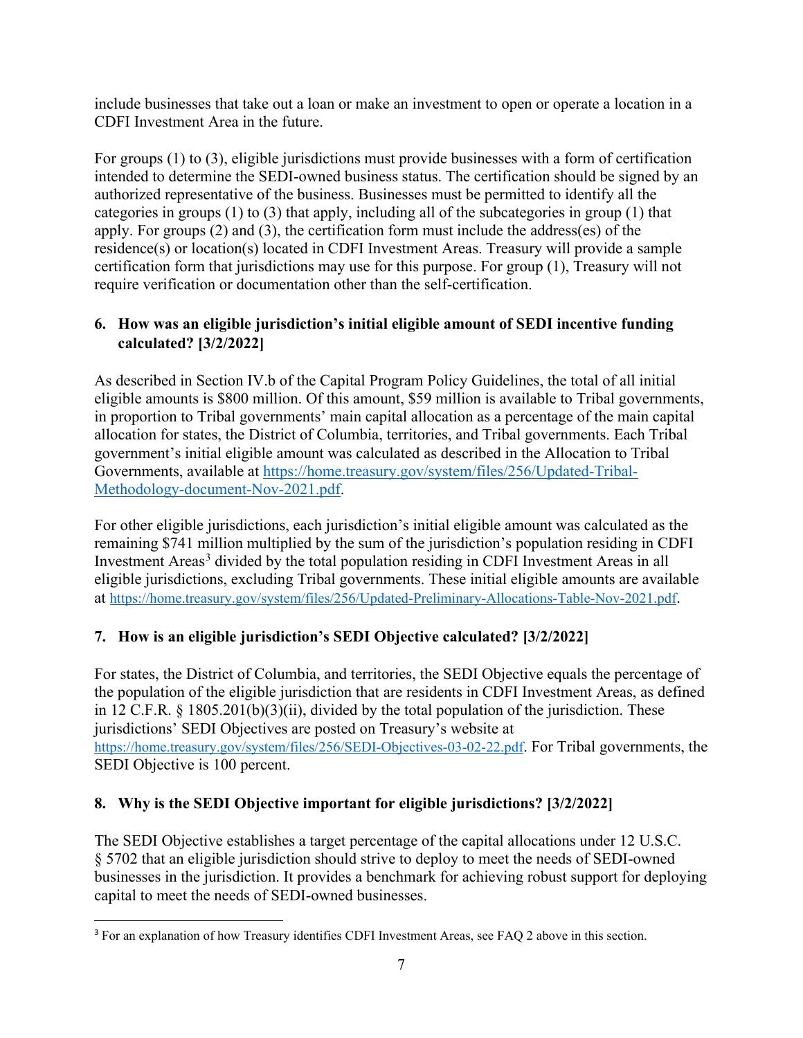include businesses that take out a loan or make an investment to open or operate a location in a CDFI Investment Area in the future.

For groups (1) to (3), eligible jurisdictions must provide businesses with a form of certification intended to determine the SEDI-owned business status. The certification should be signed by an authorized representative of the business. Businesses must be permitted to identify all the categories in groups (1) to (3) that apply, including all of the subcategories in group (1) that apply. For groups (2) and (3), the certification form must include the address(es) of the residence(s) or location(s) located in CDFI Investment Areas. Treasury will provide a sample certification form that jurisdictions may use for this purpose. For group (1), Treasury will not require verification or documentation other than the self-certification.

# <span id="page-6-0"></span>**6. How was an eligible jurisdiction's initial eligible amount of SEDI incentive funding calculated? [3/2/2022]**

As described in Section IV.b of the Capital Program Policy Guidelines, the total of all initial eligible amounts is \$800 million. Of this amount, \$59 million is available to Tribal governments, in proportion to Tribal governments' main capital allocation as a percentage of the main capital allocation for states, the District of Columbia, territories, and Tribal governments. Each Tribal government's initial eligible amount was calculated as described in the Allocation to Tribal Governments, available at [https://home.treasury.gov/system/files/256/Updated-Tribal-](https://home.treasury.gov/system/files/256/Updated-Tribal-Methodology-document-Nov-2021.pdf)[Methodology-document-Nov-2021.pdf.](https://home.treasury.gov/system/files/256/Updated-Tribal-Methodology-document-Nov-2021.pdf)

For other eligible jurisdictions, each jurisdiction's initial eligible amount was calculated as the remaining \$741 million multiplied by the sum of the jurisdiction's population residing in CDFI Investment Areas<sup>[3](#page-6-3)</sup> divided by the total population residing in CDFI Investment Areas in all eligible jurisdictions, excluding Tribal governments. These initial eligible amounts are available at [https://home.treasury.gov/system/files/256/Updated-Preliminary-Allocations-Table-Nov-2021.pdf.](https://home.treasury.gov/system/files/256/Updated-Preliminary-Allocations-Table-Nov-2021.pdf)

# <span id="page-6-1"></span>**7. How is an eligible jurisdiction's SEDI Objective calculated? [3/2/2022]**

For states, the District of Columbia, and territories, the SEDI Objective equals the percentage of the population of the eligible jurisdiction that are residents in CDFI Investment Areas, as defined in 12 C.F.R. § 1805.201(b)(3)(ii), divided by the total population of the jurisdiction. These jurisdictions' SEDI Objectives are posted on Treasury's website at [https://home.treasury.gov/system/files/256/SEDI-Objectives-03-02-22.pdf.](https://home.treasury.gov/system/files/256/SEDI-Objectives-03-02-22.pdf) For Tribal governments, the SEDI Objective is 100 percent.

# <span id="page-6-2"></span>**8. Why is the SEDI Objective important for eligible jurisdictions? [3/2/2022]**

The SEDI Objective establishes a target percentage of the capital allocations under 12 U.S.C. § 5702 that an eligible jurisdiction should strive to deploy to meet the needs of SEDI-owned businesses in the jurisdiction. It provides a benchmark for achieving robust support for deploying capital to meet the needs of SEDI-owned businesses.

<span id="page-6-3"></span><sup>3</sup> For an explanation of how Treasury identifies CDFI Investment Areas, see FAQ 2 above in this section.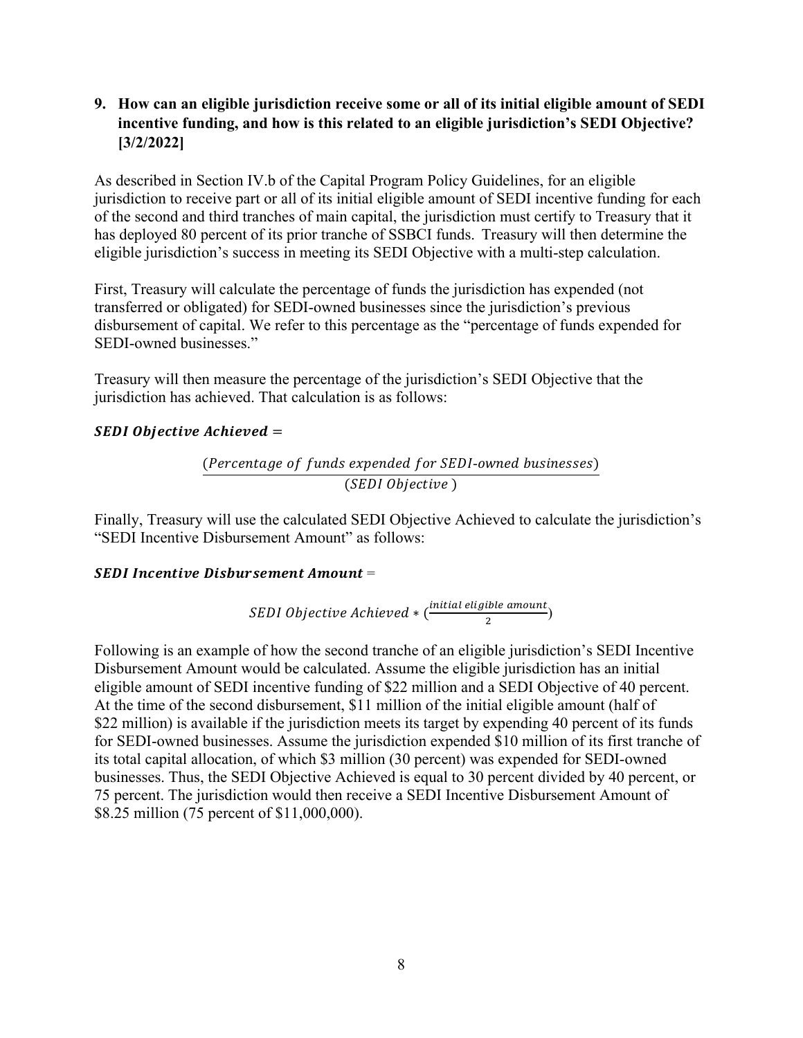# <span id="page-7-0"></span>**9. How can an eligible jurisdiction receive some or all of its initial eligible amount of SEDI incentive funding, and how is this related to an eligible jurisdiction's SEDI Objective? [3/2/2022]**

As described in Section IV.b of the Capital Program Policy Guidelines, for an eligible jurisdiction to receive part or all of its initial eligible amount of SEDI incentive funding for each of the second and third tranches of main capital, the jurisdiction must certify to Treasury that it has deployed 80 percent of its prior tranche of SSBCI funds. Treasury will then determine the eligible jurisdiction's success in meeting its SEDI Objective with a multi-step calculation.

First, Treasury will calculate the percentage of funds the jurisdiction has expended (not transferred or obligated) for SEDI-owned businesses since the jurisdiction's previous disbursement of capital. We refer to this percentage as the "percentage of funds expended for SEDI-owned businesses."

Treasury will then measure the percentage of the jurisdiction's SEDI Objective that the jurisdiction has achieved. That calculation is as follows:

#### **SEDI Objective Achieved =**

(Percentage of funds expended for SEDI-owned businesses)  $(SEDI\;Objective\;)$ 

Finally, Treasury will use the calculated SEDI Objective Achieved to calculate the jurisdiction's "SEDI Incentive Disbursement Amount" as follows:

#### **SEDI Incentive Disbursement Amount =**

*SEDI Objective Achieved*  $*(\frac{initial \; eligible \; amount}{2})$ 

Following is an example of how the second tranche of an eligible jurisdiction's SEDI Incentive Disbursement Amount would be calculated. Assume the eligible jurisdiction has an initial eligible amount of SEDI incentive funding of \$22 million and a SEDI Objective of 40 percent. At the time of the second disbursement, \$11 million of the initial eligible amount (half of \$22 million) is available if the jurisdiction meets its target by expending 40 percent of its funds for SEDI-owned businesses. Assume the jurisdiction expended \$10 million of its first tranche of its total capital allocation, of which \$3 million (30 percent) was expended for SEDI-owned businesses. Thus, the SEDI Objective Achieved is equal to 30 percent divided by 40 percent, or 75 percent. The jurisdiction would then receive a SEDI Incentive Disbursement Amount of \$8.25 million (75 percent of \$11,000,000).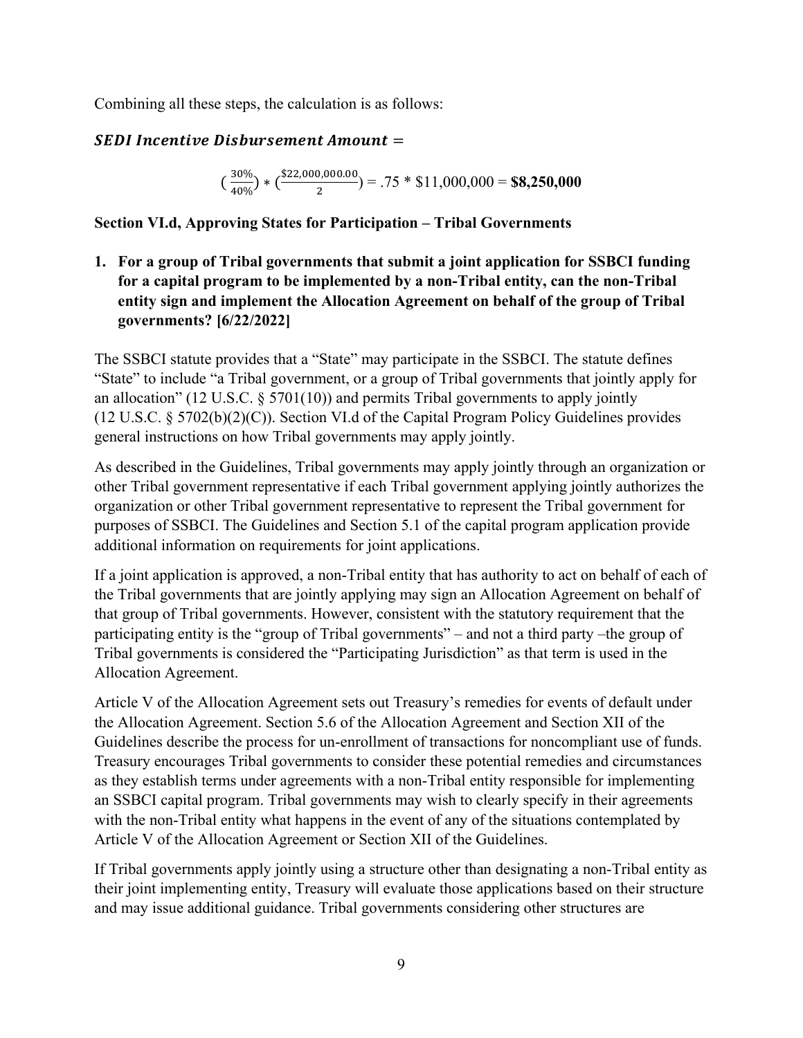Combining all these steps, the calculation is as follows:

# **SEDI Incentive Disbursement Amount =**

$$
\left(\frac{30\%}{40\%}\right) * \left(\frac{\$22,000,000.00}{2}\right) = .75 * \$11,000,000 = \$8,250,000
$$

## <span id="page-8-0"></span>**Section VI.d, Approving States for Participation – Tribal Governments**

<span id="page-8-1"></span>**1. For a group of Tribal governments that submit a joint application for SSBCI funding for a capital program to be implemented by a non-Tribal entity, can the non-Tribal entity sign and implement the Allocation Agreement on behalf of the group of Tribal governments? [6/22/2022]** 

The SSBCI statute provides that a "State" may participate in the SSBCI. The statute defines "State" to include "a Tribal government, or a group of Tribal governments that jointly apply for an allocation" (12 U.S.C.  $\S 5701(10)$ ) and permits Tribal governments to apply jointly (12 U.S.C. § 5702(b)(2)(C)). Section VI.d of the Capital Program Policy Guidelines provides general instructions on how Tribal governments may apply jointly.

As described in the Guidelines, Tribal governments may apply jointly through an organization or other Tribal government representative if each Tribal government applying jointly authorizes the organization or other Tribal government representative to represent the Tribal government for purposes of SSBCI. The Guidelines and Section 5.1 of the capital program application provide additional information on requirements for joint applications.

If a joint application is approved, a non-Tribal entity that has authority to act on behalf of each of the Tribal governments that are jointly applying may sign an Allocation Agreement on behalf of that group of Tribal governments. However, consistent with the statutory requirement that the participating entity is the "group of Tribal governments" – and not a third party –the group of Tribal governments is considered the "Participating Jurisdiction" as that term is used in the Allocation Agreement.

Article V of the Allocation Agreement sets out Treasury's remedies for events of default under the Allocation Agreement. Section 5.6 of the Allocation Agreement and Section XII of the Guidelines describe the process for un-enrollment of transactions for noncompliant use of funds. Treasury encourages Tribal governments to consider these potential remedies and circumstances as they establish terms under agreements with a non-Tribal entity responsible for implementing an SSBCI capital program. Tribal governments may wish to clearly specify in their agreements with the non-Tribal entity what happens in the event of any of the situations contemplated by Article V of the Allocation Agreement or Section XII of the Guidelines.

If Tribal governments apply jointly using a structure other than designating a non-Tribal entity as their joint implementing entity, Treasury will evaluate those applications based on their structure and may issue additional guidance. Tribal governments considering other structures are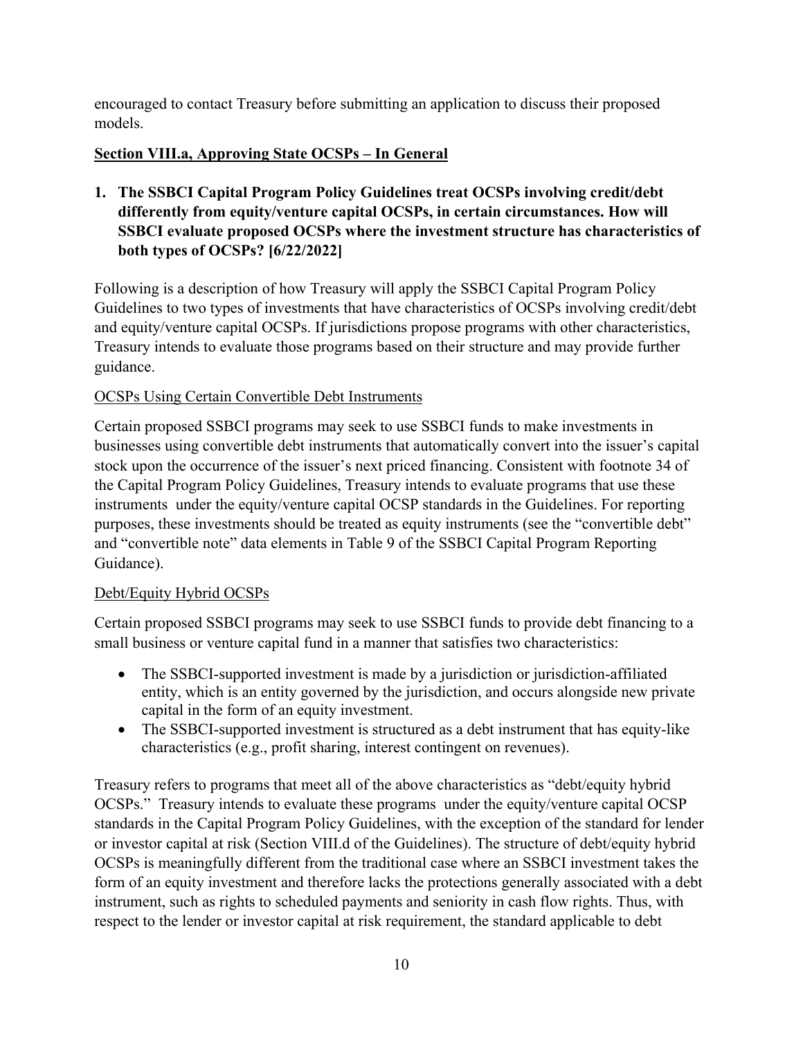encouraged to contact Treasury before submitting an application to discuss their proposed models.

# <span id="page-9-0"></span>**Section VIII.a, Approving State OCSPs – In General**

<span id="page-9-1"></span>**1. The SSBCI Capital Program Policy Guidelines treat OCSPs involving credit/debt differently from equity/venture capital OCSPs, in certain circumstances. How will SSBCI evaluate proposed OCSPs where the investment structure has characteristics of both types of OCSPs? [6/22/2022]** 

Following is a description of how Treasury will apply the SSBCI Capital Program Policy Guidelines to two types of investments that have characteristics of OCSPs involving credit/debt and equity/venture capital OCSPs. If jurisdictions propose programs with other characteristics, Treasury intends to evaluate those programs based on their structure and may provide further guidance.

# OCSPs Using Certain Convertible Debt Instruments

Certain proposed SSBCI programs may seek to use SSBCI funds to make investments in businesses using convertible debt instruments that automatically convert into the issuer's capital stock upon the occurrence of the issuer's next priced financing. Consistent with footnote 34 of the Capital Program Policy Guidelines, Treasury intends to evaluate programs that use these instruments under the equity/venture capital OCSP standards in the Guidelines. For reporting purposes, these investments should be treated as equity instruments (see the "convertible debt" and "convertible note" data elements in Table 9 of the SSBCI Capital Program Reporting Guidance).

# Debt/Equity Hybrid OCSPs

Certain proposed SSBCI programs may seek to use SSBCI funds to provide debt financing to a small business or venture capital fund in a manner that satisfies two characteristics:

- The SSBCI-supported investment is made by a jurisdiction or jurisdiction-affiliated entity, which is an entity governed by the jurisdiction, and occurs alongside new private capital in the form of an equity investment.
- The SSBCI-supported investment is structured as a debt instrument that has equity-like characteristics (e.g., profit sharing, interest contingent on revenues).

Treasury refers to programs that meet all of the above characteristics as "debt/equity hybrid OCSPs." Treasury intends to evaluate these programs under the equity/venture capital OCSP standards in the Capital Program Policy Guidelines, with the exception of the standard for lender or investor capital at risk (Section VIII.d of the Guidelines). The structure of debt/equity hybrid OCSPs is meaningfully different from the traditional case where an SSBCI investment takes the form of an equity investment and therefore lacks the protections generally associated with a debt instrument, such as rights to scheduled payments and seniority in cash flow rights. Thus, with respect to the lender or investor capital at risk requirement, the standard applicable to debt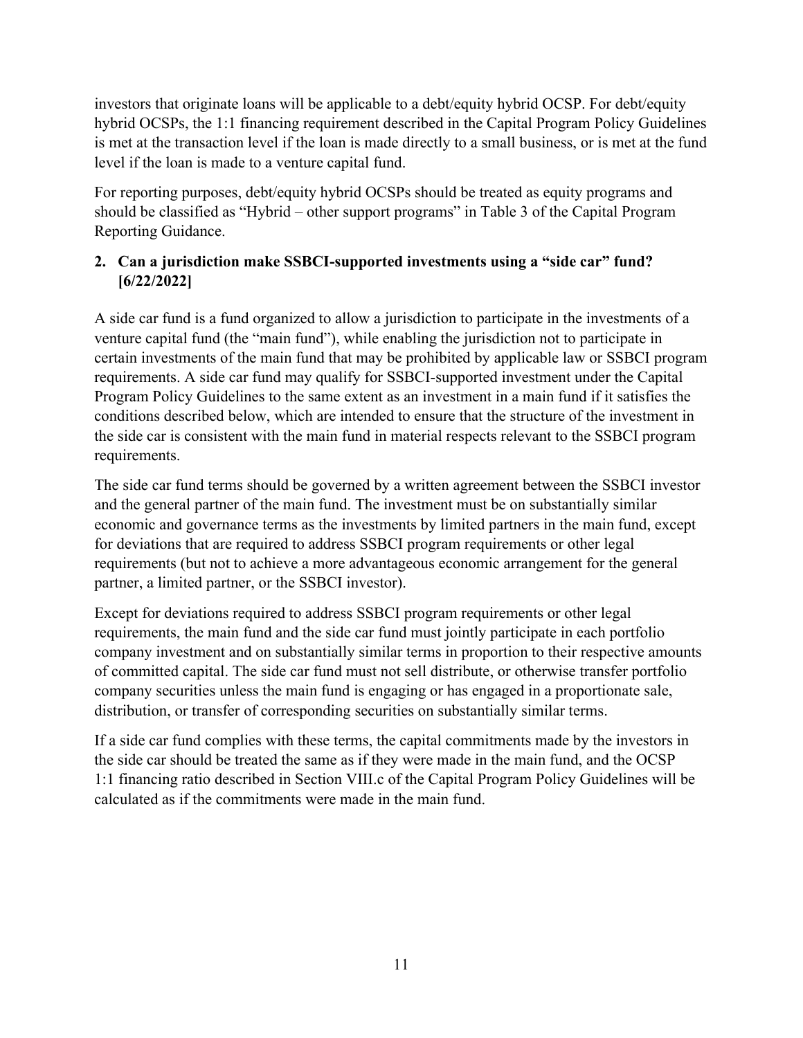investors that originate loans will be applicable to a debt/equity hybrid OCSP. For debt/equity hybrid OCSPs, the 1:1 financing requirement described in the Capital Program Policy Guidelines is met at the transaction level if the loan is made directly to a small business, or is met at the fund level if the loan is made to a venture capital fund.

For reporting purposes, debt/equity hybrid OCSPs should be treated as equity programs and should be classified as "Hybrid – other support programs" in Table 3 of the Capital Program Reporting Guidance.

# <span id="page-10-0"></span>**2. Can a jurisdiction make SSBCI-supported investments using a "side car" fund? [6/22/2022]**

A side car fund is a fund organized to allow a jurisdiction to participate in the investments of a venture capital fund (the "main fund"), while enabling the jurisdiction not to participate in certain investments of the main fund that may be prohibited by applicable law or SSBCI program requirements. A side car fund may qualify for SSBCI-supported investment under the Capital Program Policy Guidelines to the same extent as an investment in a main fund if it satisfies the conditions described below, which are intended to ensure that the structure of the investment in the side car is consistent with the main fund in material respects relevant to the SSBCI program requirements.

The side car fund terms should be governed by a written agreement between the SSBCI investor and the general partner of the main fund. The investment must be on substantially similar economic and governance terms as the investments by limited partners in the main fund, except for deviations that are required to address SSBCI program requirements or other legal requirements (but not to achieve a more advantageous economic arrangement for the general partner, a limited partner, or the SSBCI investor).

Except for deviations required to address SSBCI program requirements or other legal requirements, the main fund and the side car fund must jointly participate in each portfolio company investment and on substantially similar terms in proportion to their respective amounts of committed capital. The side car fund must not sell distribute, or otherwise transfer portfolio company securities unless the main fund is engaging or has engaged in a proportionate sale, distribution, or transfer of corresponding securities on substantially similar terms.

If a side car fund complies with these terms, the capital commitments made by the investors in the side car should be treated the same as if they were made in the main fund, and the OCSP 1:1 financing ratio described in Section VIII.c of the Capital Program Policy Guidelines will be calculated as if the commitments were made in the main fund.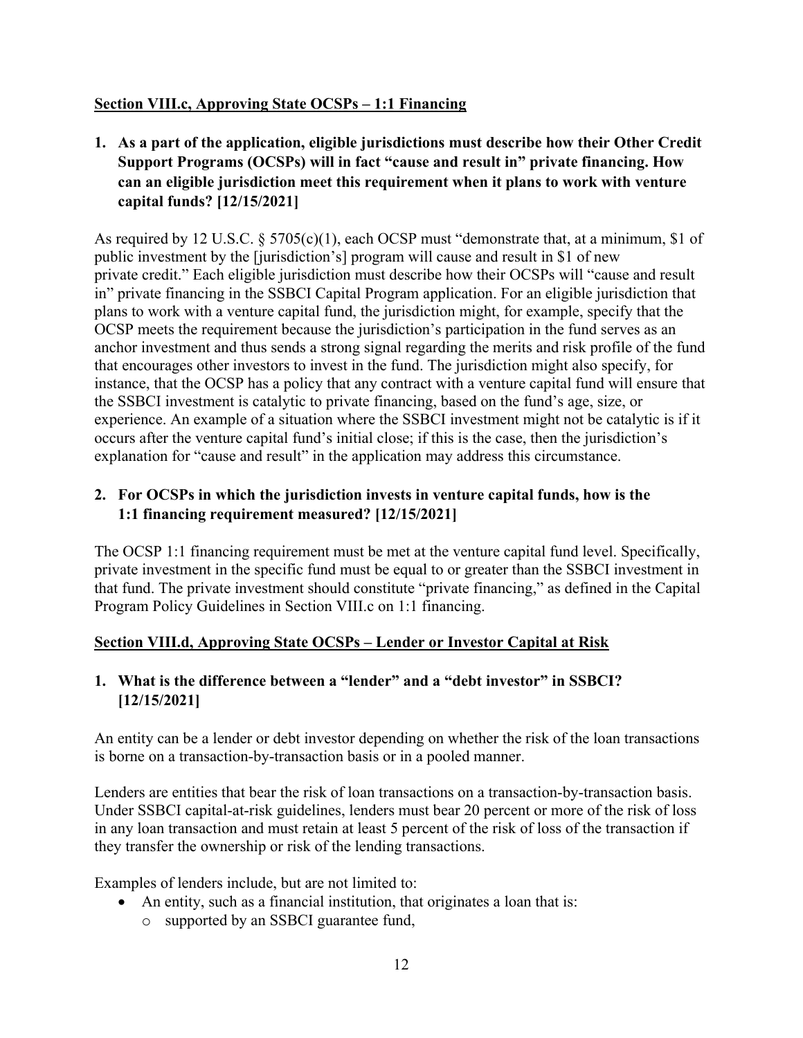# <span id="page-11-0"></span>**Section VIII.c, Approving State OCSPs – 1:1 Financing**

<span id="page-11-1"></span>**1. As a part of the application, eligible jurisdictions must describe how their Other Credit Support Programs (OCSPs) will in fact "cause and result in" private financing. How can an eligible jurisdiction meet this requirement when it plans to work with venture capital funds? [12/15/2021]**

As required by 12 U.S.C. § 5705(c)(1), each OCSP must "demonstrate that, at a minimum, \$1 of public investment by the [jurisdiction's] program will cause and result in \$1 of new private credit." Each eligible jurisdiction must describe how their OCSPs will "cause and result in" private financing in the SSBCI Capital Program application. For an eligible jurisdiction that plans to work with a venture capital fund, the jurisdiction might, for example, specify that the OCSP meets the requirement because the jurisdiction's participation in the fund serves as an anchor investment and thus sends a strong signal regarding the merits and risk profile of the fund that encourages other investors to invest in the fund. The jurisdiction might also specify, for instance, that the OCSP has a policy that any contract with a venture capital fund will ensure that the SSBCI investment is catalytic to private financing, based on the fund's age, size, or experience. An example of a situation where the SSBCI investment might not be catalytic is if it occurs after the venture capital fund's initial close; if this is the case, then the jurisdiction's explanation for "cause and result" in the application may address this circumstance.

## <span id="page-11-2"></span>**2. For OCSPs in which the jurisdiction invests in venture capital funds, how is the 1:1 financing requirement measured? [12/15/2021]**

The OCSP 1:1 financing requirement must be met at the venture capital fund level. Specifically, private investment in the specific fund must be equal to or greater than the SSBCI investment in that fund. The private investment should constitute "private financing," as defined in the Capital Program Policy Guidelines in Section VIII.c on 1:1 financing.

# <span id="page-11-3"></span>**Section VIII.d, Approving State OCSPs – Lender or Investor Capital at Risk**

# <span id="page-11-4"></span>**1. What is the difference between a "lender" and a "debt investor" in SSBCI? [12/15/2021]**

An entity can be a lender or debt investor depending on whether the risk of the loan transactions is borne on a transaction-by-transaction basis or in a pooled manner.

Lenders are entities that bear the risk of loan transactions on a transaction-by-transaction basis. Under SSBCI capital-at-risk guidelines, lenders must bear 20 percent or more of the risk of loss in any loan transaction and must retain at least 5 percent of the risk of loss of the transaction if they transfer the ownership or risk of the lending transactions.

Examples of lenders include, but are not limited to:

- An entity, such as a financial institution, that originates a loan that is:
	- o supported by an SSBCI guarantee fund,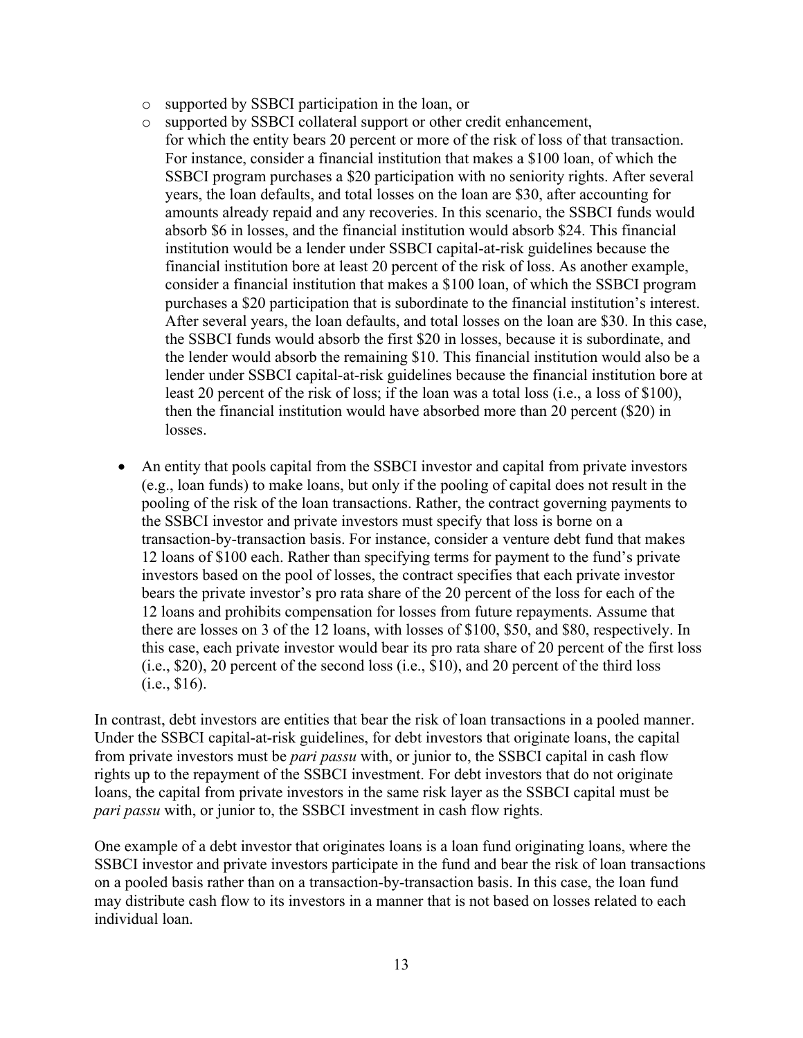- o supported by SSBCI participation in the loan, or
- o supported by SSBCI collateral support or other credit enhancement, for which the entity bears 20 percent or more of the risk of loss of that transaction. For instance, consider a financial institution that makes a \$100 loan, of which the SSBCI program purchases a \$20 participation with no seniority rights. After several years, the loan defaults, and total losses on the loan are \$30, after accounting for amounts already repaid and any recoveries. In this scenario, the SSBCI funds would absorb \$6 in losses, and the financial institution would absorb \$24. This financial institution would be a lender under SSBCI capital-at-risk guidelines because the financial institution bore at least 20 percent of the risk of loss. As another example, consider a financial institution that makes a \$100 loan, of which the SSBCI program purchases a \$20 participation that is subordinate to the financial institution's interest. After several years, the loan defaults, and total losses on the loan are \$30. In this case, the SSBCI funds would absorb the first \$20 in losses, because it is subordinate, and the lender would absorb the remaining \$10. This financial institution would also be a lender under SSBCI capital-at-risk guidelines because the financial institution bore at least 20 percent of the risk of loss; if the loan was a total loss (i.e., a loss of \$100), then the financial institution would have absorbed more than 20 percent (\$20) in losses.
- An entity that pools capital from the SSBCI investor and capital from private investors (e.g., loan funds) to make loans, but only if the pooling of capital does not result in the pooling of the risk of the loan transactions. Rather, the contract governing payments to the SSBCI investor and private investors must specify that loss is borne on a transaction-by-transaction basis. For instance, consider a venture debt fund that makes 12 loans of \$100 each. Rather than specifying terms for payment to the fund's private investors based on the pool of losses, the contract specifies that each private investor bears the private investor's pro rata share of the 20 percent of the loss for each of the 12 loans and prohibits compensation for losses from future repayments. Assume that there are losses on 3 of the 12 loans, with losses of \$100, \$50, and \$80, respectively. In this case, each private investor would bear its pro rata share of 20 percent of the first loss (i.e., \$20), 20 percent of the second loss (i.e., \$10), and 20 percent of the third loss (i.e., \$16).

In contrast, debt investors are entities that bear the risk of loan transactions in a pooled manner. Under the SSBCI capital-at-risk guidelines, for debt investors that originate loans, the capital from private investors must be *pari passu* with, or junior to, the SSBCI capital in cash flow rights up to the repayment of the SSBCI investment. For debt investors that do not originate loans, the capital from private investors in the same risk layer as the SSBCI capital must be *pari passu* with, or junior to, the SSBCI investment in cash flow rights.

One example of a debt investor that originates loans is a loan fund originating loans, where the SSBCI investor and private investors participate in the fund and bear the risk of loan transactions on a pooled basis rather than on a transaction-by-transaction basis. In this case, the loan fund may distribute cash flow to its investors in a manner that is not based on losses related to each individual loan.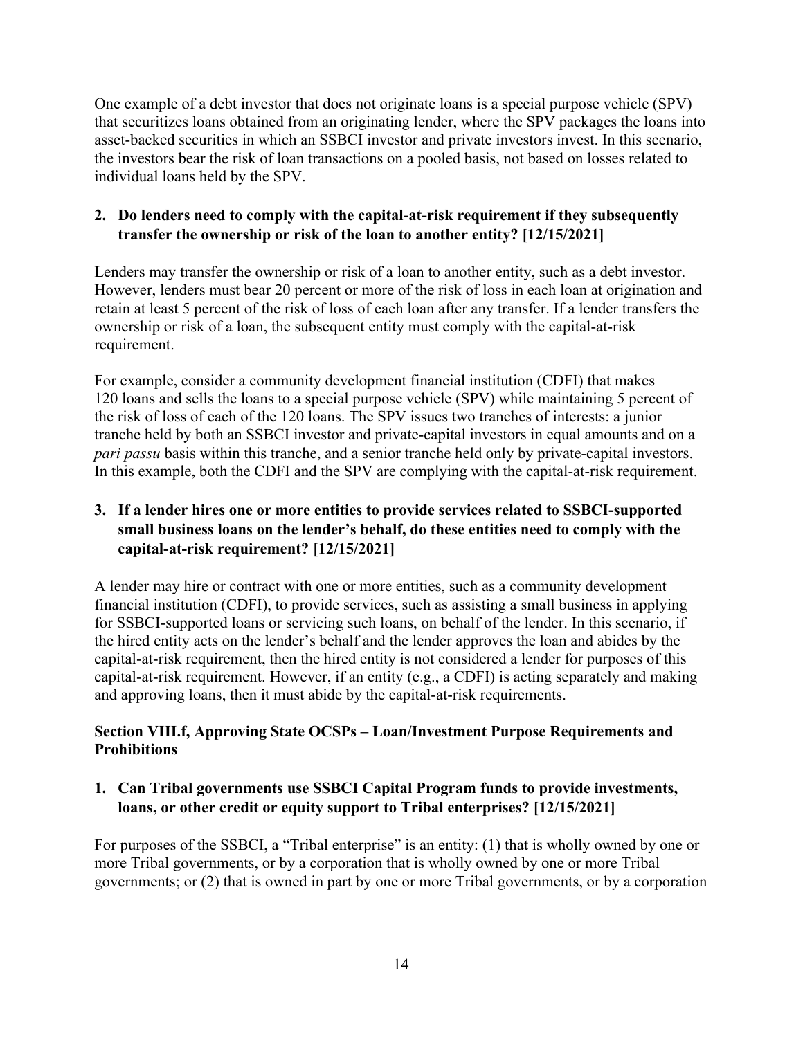One example of a debt investor that does not originate loans is a special purpose vehicle (SPV) that securitizes loans obtained from an originating lender, where the SPV packages the loans into asset-backed securities in which an SSBCI investor and private investors invest. In this scenario, the investors bear the risk of loan transactions on a pooled basis, not based on losses related to individual loans held by the SPV.

### <span id="page-13-0"></span>**2. Do lenders need to comply with the capital-at-risk requirement if they subsequently transfer the ownership or risk of the loan to another entity? [12/15/2021]**

Lenders may transfer the ownership or risk of a loan to another entity, such as a debt investor. However, lenders must bear 20 percent or more of the risk of loss in each loan at origination and retain at least 5 percent of the risk of loss of each loan after any transfer. If a lender transfers the ownership or risk of a loan, the subsequent entity must comply with the capital-at-risk requirement.

For example, consider a community development financial institution (CDFI) that makes 120 loans and sells the loans to a special purpose vehicle (SPV) while maintaining 5 percent of the risk of loss of each of the 120 loans. The SPV issues two tranches of interests: a junior tranche held by both an SSBCI investor and private-capital investors in equal amounts and on a *pari passu* basis within this tranche, and a senior tranche held only by private-capital investors. In this example, both the CDFI and the SPV are complying with the capital-at-risk requirement.

# <span id="page-13-1"></span>**3. If a lender hires one or more entities to provide services related to SSBCI-supported small business loans on the lender's behalf, do these entities need to comply with the capital-at-risk requirement? [12/15/2021]**

A lender may hire or contract with one or more entities, such as a community development financial institution (CDFI), to provide services, such as assisting a small business in applying for SSBCI-supported loans or servicing such loans, on behalf of the lender. In this scenario, if the hired entity acts on the lender's behalf and the lender approves the loan and abides by the capital-at-risk requirement, then the hired entity is not considered a lender for purposes of this capital-at-risk requirement. However, if an entity (e.g., a CDFI) is acting separately and making and approving loans, then it must abide by the capital-at-risk requirements.

## <span id="page-13-2"></span>**Section VIII.f, Approving State OCSPs – Loan/Investment Purpose Requirements and Prohibitions**

## <span id="page-13-3"></span>**1. Can Tribal governments use SSBCI Capital Program funds to provide investments, loans, or other credit or equity support to Tribal enterprises? [12/15/2021]**

For purposes of the SSBCI, a "Tribal enterprise" is an entity: (1) that is wholly owned by one or more Tribal governments, or by a corporation that is wholly owned by one or more Tribal governments; or (2) that is owned in part by one or more Tribal governments, or by a corporation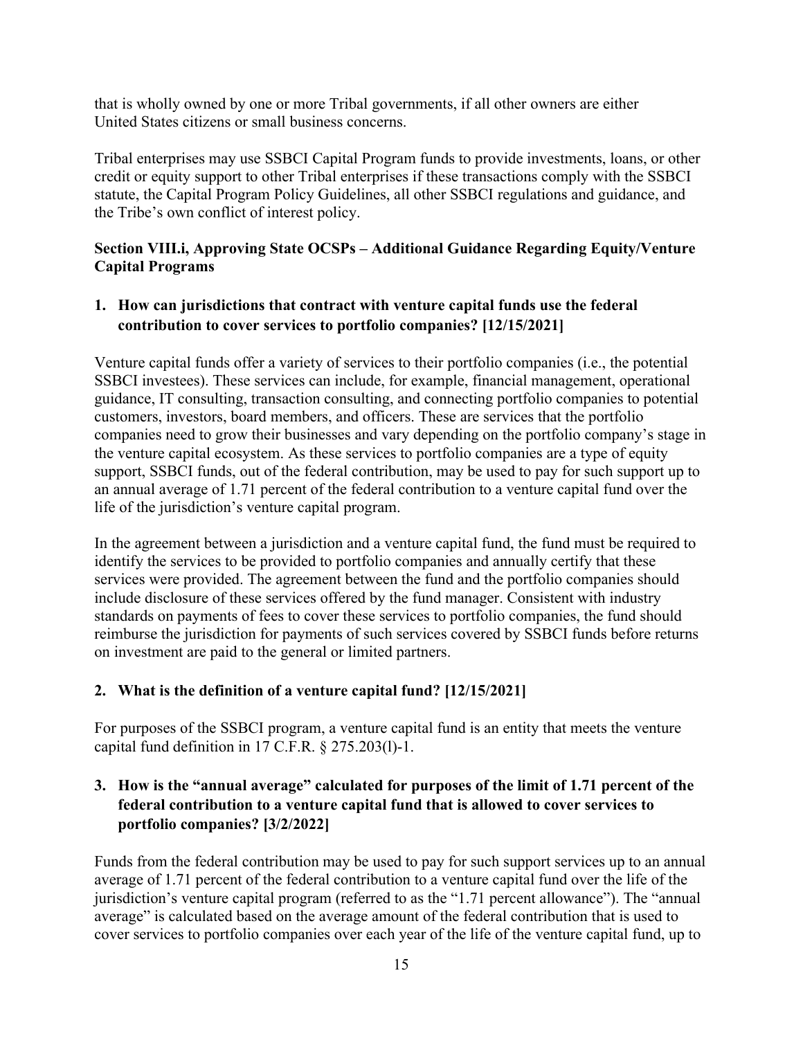that is wholly owned by one or more Tribal governments, if all other owners are either United States citizens or small business concerns.

Tribal enterprises may use SSBCI Capital Program funds to provide investments, loans, or other credit or equity support to other Tribal enterprises if these transactions comply with the SSBCI statute, the Capital Program Policy Guidelines, all other SSBCI regulations and guidance, and the Tribe's own conflict of interest policy.

# <span id="page-14-0"></span>**Section VIII.i, Approving State OCSPs – Additional Guidance Regarding Equity/Venture Capital Programs**

#### <span id="page-14-1"></span>**1. How can jurisdictions that contract with venture capital funds use the federal contribution to cover services to portfolio companies? [12/15/2021]**

Venture capital funds offer a variety of services to their portfolio companies (i.e., the potential SSBCI investees). These services can include, for example, financial management, operational guidance, IT consulting, transaction consulting, and connecting portfolio companies to potential customers, investors, board members, and officers. These are services that the portfolio companies need to grow their businesses and vary depending on the portfolio company's stage in the venture capital ecosystem. As these services to portfolio companies are a type of equity support, SSBCI funds, out of the federal contribution, may be used to pay for such support up to an annual average of 1.71 percent of the federal contribution to a venture capital fund over the life of the jurisdiction's venture capital program.

In the agreement between a jurisdiction and a venture capital fund, the fund must be required to identify the services to be provided to portfolio companies and annually certify that these services were provided. The agreement between the fund and the portfolio companies should include disclosure of these services offered by the fund manager. Consistent with industry standards on payments of fees to cover these services to portfolio companies, the fund should reimburse the jurisdiction for payments of such services covered by SSBCI funds before returns on investment are paid to the general or limited partners.

# <span id="page-14-2"></span>**2. What is the definition of a venture capital fund? [12/15/2021]**

For purposes of the SSBCI program, a venture capital fund is an entity that meets the venture capital fund definition in 17 C.F.R. § 275.203(l)-1.

# <span id="page-14-3"></span>**3. How is the "annual average" calculated for purposes of the limit of 1.71 percent of the federal contribution to a venture capital fund that is allowed to cover services to portfolio companies? [3/2/2022]**

Funds from the federal contribution may be used to pay for such support services up to an annual average of 1.71 percent of the federal contribution to a venture capital fund over the life of the jurisdiction's venture capital program (referred to as the "1.71 percent allowance"). The "annual average" is calculated based on the average amount of the federal contribution that is used to cover services to portfolio companies over each year of the life of the venture capital fund, up to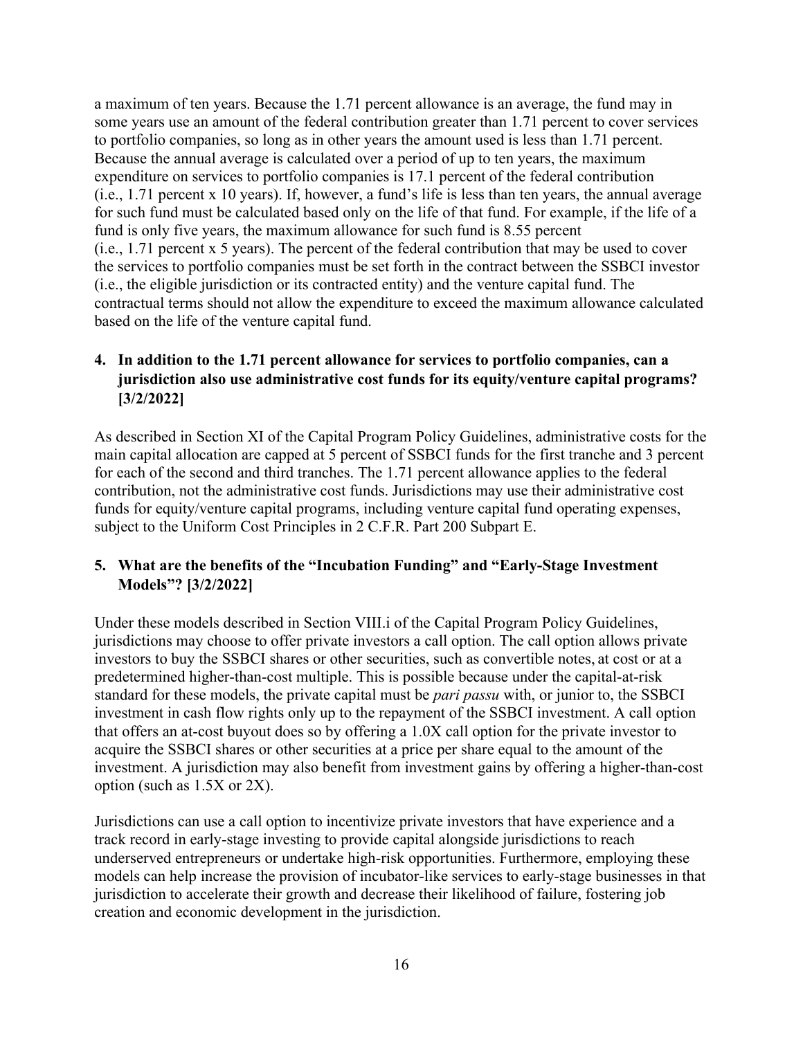a maximum of ten years. Because the 1.71 percent allowance is an average, the fund may in some years use an amount of the federal contribution greater than 1.71 percent to cover services to portfolio companies, so long as in other years the amount used is less than 1.71 percent. Because the annual average is calculated over a period of up to ten years, the maximum expenditure on services to portfolio companies is 17.1 percent of the federal contribution (i.e., 1.71 percent x 10 years). If, however, a fund's life is less than ten years, the annual average for such fund must be calculated based only on the life of that fund. For example, if the life of a fund is only five years, the maximum allowance for such fund is 8.55 percent (i.e., 1.71 percent x 5 years). The percent of the federal contribution that may be used to cover the services to portfolio companies must be set forth in the contract between the SSBCI investor (i.e., the eligible jurisdiction or its contracted entity) and the venture capital fund. The contractual terms should not allow the expenditure to exceed the maximum allowance calculated based on the life of the venture capital fund.

# <span id="page-15-0"></span>**4. In addition to the 1.71 percent allowance for services to portfolio companies, can a jurisdiction also use administrative cost funds for its equity/venture capital programs? [3/2/2022]**

As described in Section XI of the Capital Program Policy Guidelines, administrative costs for the main capital allocation are capped at 5 percent of SSBCI funds for the first tranche and 3 percent for each of the second and third tranches. The 1.71 percent allowance applies to the federal contribution, not the administrative cost funds. Jurisdictions may use their administrative cost funds for equity/venture capital programs, including venture capital fund operating expenses, subject to the Uniform Cost Principles in 2 C.F.R. Part 200 Subpart E.

## <span id="page-15-1"></span>**5. What are the benefits of the "Incubation Funding" and "Early-Stage Investment Models"? [3/2/2022]**

Under these models described in Section VIII.i of the Capital Program Policy Guidelines, jurisdictions may choose to offer private investors a call option. The call option allows private investors to buy the SSBCI shares or other securities, such as convertible notes, at cost or at a predetermined higher-than-cost multiple. This is possible because under the capital-at-risk standard for these models, the private capital must be *pari passu* with, or junior to, the SSBCI investment in cash flow rights only up to the repayment of the SSBCI investment. A call option that offers an at-cost buyout does so by offering a 1.0X call option for the private investor to acquire the SSBCI shares or other securities at a price per share equal to the amount of the investment. A jurisdiction may also benefit from investment gains by offering a higher-than-cost option (such as 1.5X or 2X).

Jurisdictions can use a call option to incentivize private investors that have experience and a track record in early-stage investing to provide capital alongside jurisdictions to reach underserved entrepreneurs or undertake high-risk opportunities. Furthermore, employing these models can help increase the provision of incubator-like services to early-stage businesses in that jurisdiction to accelerate their growth and decrease their likelihood of failure, fostering job creation and economic development in the jurisdiction.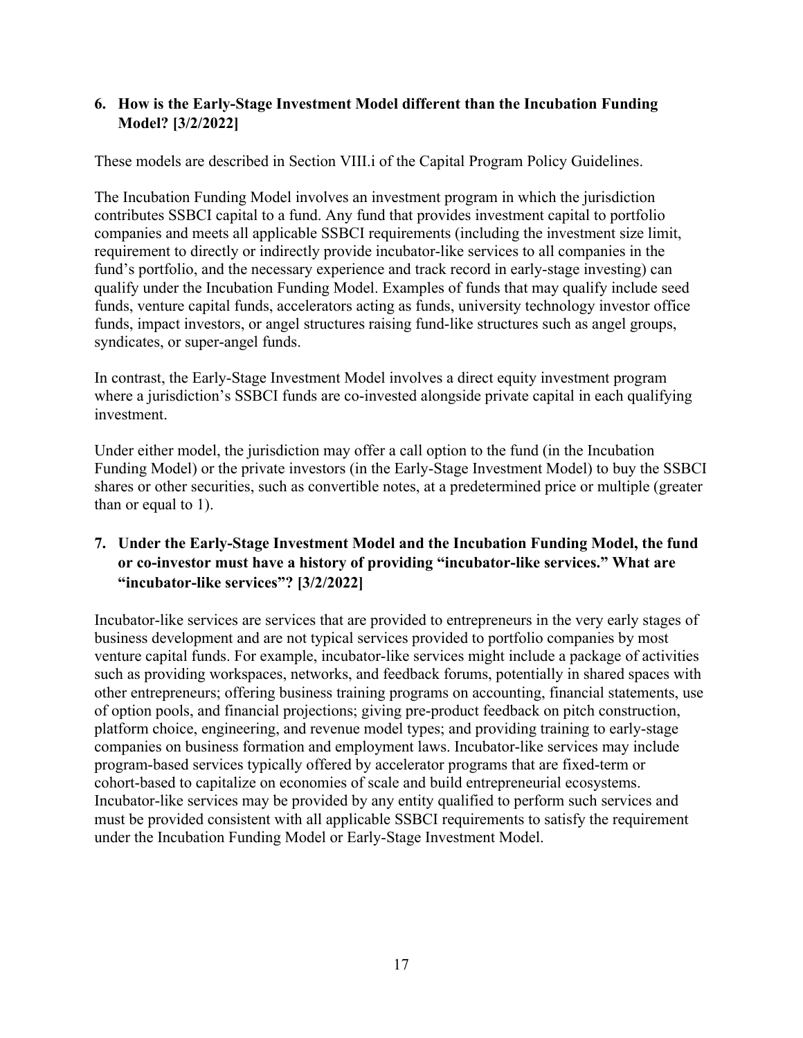### <span id="page-16-0"></span>**6. How is the Early-Stage Investment Model different than the Incubation Funding Model? [3/2/2022]**

These models are described in Section VIII.i of the Capital Program Policy Guidelines.

The Incubation Funding Model involves an investment program in which the jurisdiction contributes SSBCI capital to a fund. Any fund that provides investment capital to portfolio companies and meets all applicable SSBCI requirements (including the investment size limit, requirement to directly or indirectly provide incubator-like services to all companies in the fund's portfolio, and the necessary experience and track record in early-stage investing) can qualify under the Incubation Funding Model. Examples of funds that may qualify include seed funds, venture capital funds, accelerators acting as funds, university technology investor office funds, impact investors, or angel structures raising fund-like structures such as angel groups, syndicates, or super-angel funds.

In contrast, the Early-Stage Investment Model involves a direct equity investment program where a jurisdiction's SSBCI funds are co-invested alongside private capital in each qualifying investment.

Under either model, the jurisdiction may offer a call option to the fund (in the Incubation Funding Model) or the private investors (in the Early-Stage Investment Model) to buy the SSBCI shares or other securities, such as convertible notes, at a predetermined price or multiple (greater than or equal to 1).

# <span id="page-16-1"></span>**7. Under the Early-Stage Investment Model and the Incubation Funding Model, the fund or co-investor must have a history of providing "incubator-like services." What are "incubator-like services"? [3/2/2022]**

Incubator-like services are services that are provided to entrepreneurs in the very early stages of business development and are not typical services provided to portfolio companies by most venture capital funds. For example, incubator-like services might include a package of activities such as providing workspaces, networks, and feedback forums, potentially in shared spaces with other entrepreneurs; offering business training programs on accounting, financial statements, use of option pools, and financial projections; giving pre-product feedback on pitch construction, platform choice, engineering, and revenue model types; and providing training to early-stage companies on business formation and employment laws. Incubator-like services may include program-based services typically offered by accelerator programs that are fixed-term or cohort-based to capitalize on economies of scale and build entrepreneurial ecosystems. Incubator-like services may be provided by any entity qualified to perform such services and must be provided consistent with all applicable SSBCI requirements to satisfy the requirement under the Incubation Funding Model or Early-Stage Investment Model.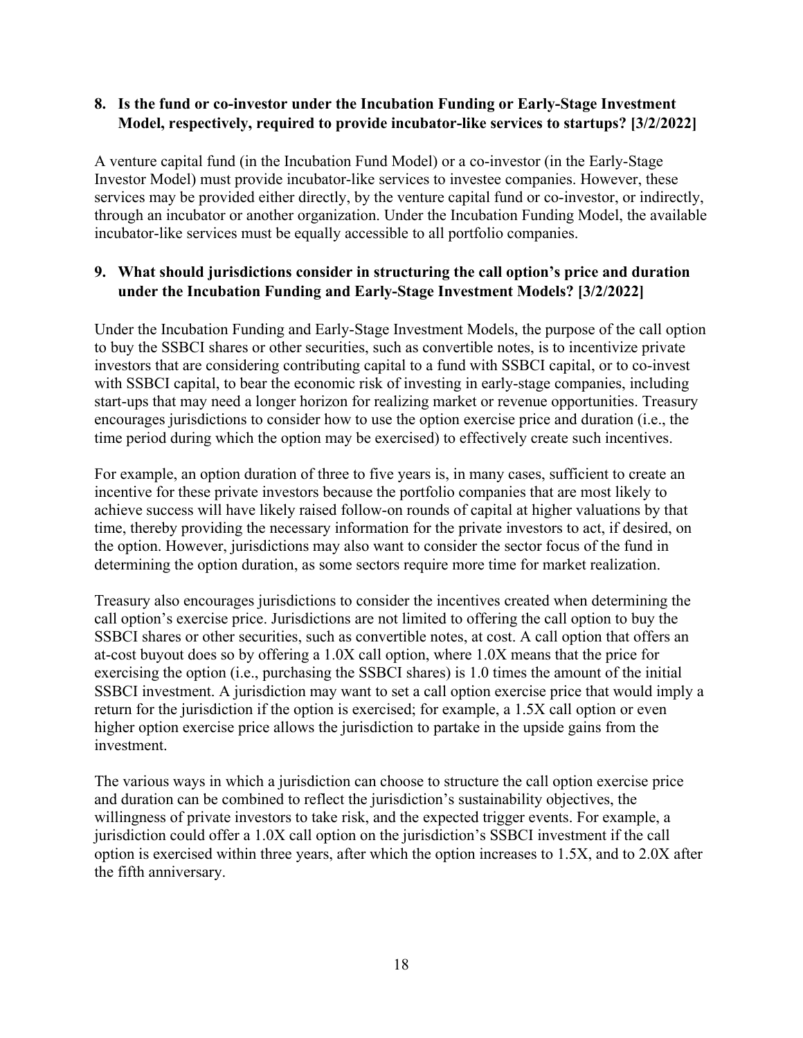#### <span id="page-17-0"></span>**8. Is the fund or co-investor under the Incubation Funding or Early-Stage Investment Model, respectively, required to provide incubator-like services to startups? [3/2/2022]**

A venture capital fund (in the Incubation Fund Model) or a co-investor (in the Early-Stage Investor Model) must provide incubator-like services to investee companies. However, these services may be provided either directly, by the venture capital fund or co-investor, or indirectly, through an incubator or another organization. Under the Incubation Funding Model, the available incubator-like services must be equally accessible to all portfolio companies.

## <span id="page-17-1"></span>**9. What should jurisdictions consider in structuring the call option's price and duration under the Incubation Funding and Early-Stage Investment Models? [3/2/2022]**

Under the Incubation Funding and Early-Stage Investment Models, the purpose of the call option to buy the SSBCI shares or other securities, such as convertible notes, is to incentivize private investors that are considering contributing capital to a fund with SSBCI capital, or to co-invest with SSBCI capital, to bear the economic risk of investing in early-stage companies, including start-ups that may need a longer horizon for realizing market or revenue opportunities. Treasury encourages jurisdictions to consider how to use the option exercise price and duration (i.e., the time period during which the option may be exercised) to effectively create such incentives.

For example, an option duration of three to five years is, in many cases, sufficient to create an incentive for these private investors because the portfolio companies that are most likely to achieve success will have likely raised follow-on rounds of capital at higher valuations by that time, thereby providing the necessary information for the private investors to act, if desired, on the option. However, jurisdictions may also want to consider the sector focus of the fund in determining the option duration, as some sectors require more time for market realization.

Treasury also encourages jurisdictions to consider the incentives created when determining the call option's exercise price. Jurisdictions are not limited to offering the call option to buy the SSBCI shares or other securities, such as convertible notes, at cost. A call option that offers an at-cost buyout does so by offering a 1.0X call option, where 1.0X means that the price for exercising the option (i.e., purchasing the SSBCI shares) is 1.0 times the amount of the initial SSBCI investment. A jurisdiction may want to set a call option exercise price that would imply a return for the jurisdiction if the option is exercised; for example, a 1.5X call option or even higher option exercise price allows the jurisdiction to partake in the upside gains from the investment.

The various ways in which a jurisdiction can choose to structure the call option exercise price and duration can be combined to reflect the jurisdiction's sustainability objectives, the willingness of private investors to take risk, and the expected trigger events. For example, a jurisdiction could offer a 1.0X call option on the jurisdiction's SSBCI investment if the call option is exercised within three years, after which the option increases to 1.5X, and to 2.0X after the fifth anniversary.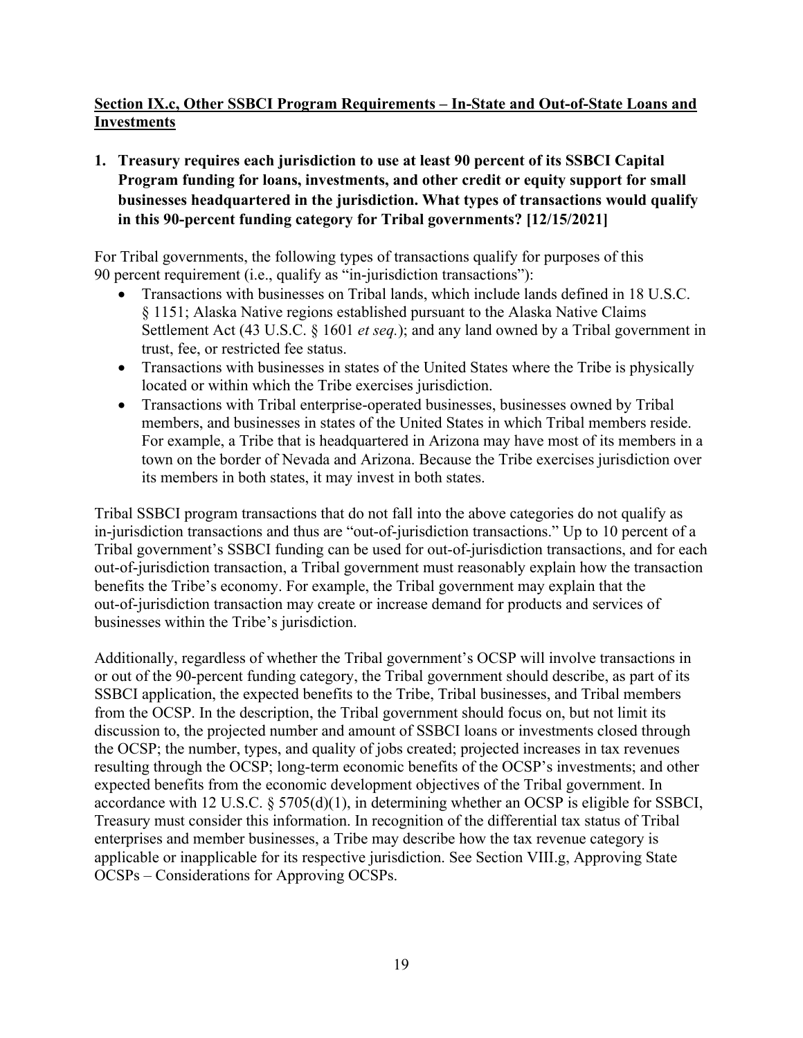# <span id="page-18-0"></span>**Section IX.c, Other SSBCI Program Requirements – In-State and Out-of-State Loans and Investments**

<span id="page-18-1"></span>**1. Treasury requires each jurisdiction to use at least 90 percent of its SSBCI Capital Program funding for loans, investments, and other credit or equity support for small businesses headquartered in the jurisdiction. What types of transactions would qualify in this 90-percent funding category for Tribal governments? [12/15/2021]**

For Tribal governments, the following types of transactions qualify for purposes of this 90 percent requirement (i.e., qualify as "in-jurisdiction transactions"):

- Transactions with businesses on Tribal lands, which include lands defined in 18 U.S.C. § 1151; Alaska Native regions established pursuant to the Alaska Native Claims Settlement Act (43 U.S.C. § 1601 *et seq.*); and any land owned by a Tribal government in trust, fee, or restricted fee status.
- Transactions with businesses in states of the United States where the Tribe is physically located or within which the Tribe exercises jurisdiction.
- Transactions with Tribal enterprise-operated businesses, businesses owned by Tribal members, and businesses in states of the United States in which Tribal members reside. For example, a Tribe that is headquartered in Arizona may have most of its members in a town on the border of Nevada and Arizona. Because the Tribe exercises jurisdiction over its members in both states, it may invest in both states.

Tribal SSBCI program transactions that do not fall into the above categories do not qualify as in-jurisdiction transactions and thus are "out-of-jurisdiction transactions." Up to 10 percent of a Tribal government's SSBCI funding can be used for out-of-jurisdiction transactions, and for each out-of-jurisdiction transaction, a Tribal government must reasonably explain how the transaction benefits the Tribe's economy. For example, the Tribal government may explain that the out-of-jurisdiction transaction may create or increase demand for products and services of businesses within the Tribe's jurisdiction.

Additionally, regardless of whether the Tribal government's OCSP will involve transactions in or out of the 90-percent funding category, the Tribal government should describe, as part of its SSBCI application, the expected benefits to the Tribe, Tribal businesses, and Tribal members from the OCSP. In the description, the Tribal government should focus on, but not limit its discussion to, the projected number and amount of SSBCI loans or investments closed through the OCSP; the number, types, and quality of jobs created; projected increases in tax revenues resulting through the OCSP; long-term economic benefits of the OCSP's investments; and other expected benefits from the economic development objectives of the Tribal government. In accordance with 12 U.S.C. § 5705(d)(1), in determining whether an OCSP is eligible for SSBCI, Treasury must consider this information. In recognition of the differential tax status of Tribal enterprises and member businesses, a Tribe may describe how the tax revenue category is applicable or inapplicable for its respective jurisdiction. See Section VIII.g, Approving State OCSPs – Considerations for Approving OCSPs.